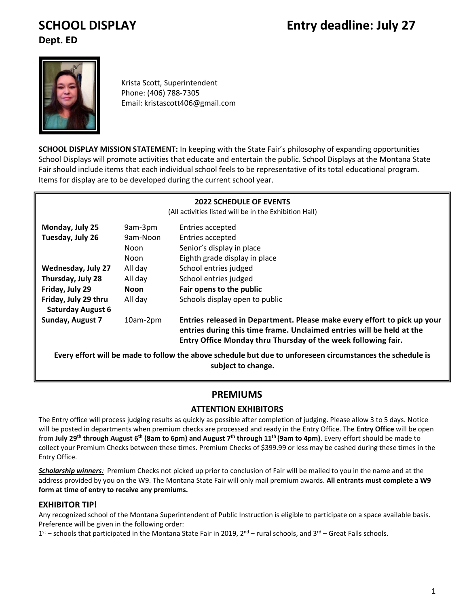# **SCHOOL DISPLAY Entry deadline: July 27**

**Dept. ED**



Krista Scott, Superintendent Phone: (406) 788-7305 Email: kristascott406@gmail.com

**SCHOOL DISPLAY MISSION STATEMENT:** In keeping with the State Fair's philosophy of expanding opportunities School Displays will promote activities that educate and entertain the public. School Displays at the Montana State Fair should include items that each individual school feels to be representative of its total educational program. Items for display are to be developed during the current school year.

| <b>2022 SCHEDULE OF EVENTS</b><br>(All activities listed will be in the Exhibition Hall)                                         |             |                                                                                                                                                                                                                    |  |  |  |
|----------------------------------------------------------------------------------------------------------------------------------|-------------|--------------------------------------------------------------------------------------------------------------------------------------------------------------------------------------------------------------------|--|--|--|
| Monday, July 25<br>9am-3pm<br>Entries accepted                                                                                   |             |                                                                                                                                                                                                                    |  |  |  |
| Tuesday, July 26                                                                                                                 | 9am-Noon    | Entries accepted                                                                                                                                                                                                   |  |  |  |
|                                                                                                                                  | Noon        | Senior's display in place                                                                                                                                                                                          |  |  |  |
|                                                                                                                                  | Noon        | Eighth grade display in place                                                                                                                                                                                      |  |  |  |
| Wednesday, July 27                                                                                                               | All day     | School entries judged                                                                                                                                                                                              |  |  |  |
| Thursday, July 28                                                                                                                | All day     | School entries judged                                                                                                                                                                                              |  |  |  |
| Friday, July 29                                                                                                                  | <b>Noon</b> | Fair opens to the public                                                                                                                                                                                           |  |  |  |
| Friday, July 29 thru<br><b>Saturday August 6</b>                                                                                 | All day     | Schools display open to public                                                                                                                                                                                     |  |  |  |
| <b>Sunday, August 7</b>                                                                                                          | 10am-2pm    | Entries released in Department. Please make every effort to pick up your<br>entries during this time frame. Unclaimed entries will be held at the<br>Entry Office Monday thru Thursday of the week following fair. |  |  |  |
| Every effort will be made to follow the above schedule but due to unforeseen circumstances the schedule is<br>subject to change. |             |                                                                                                                                                                                                                    |  |  |  |

#### **PREMIUMS** Daily hands on activities may include edible art, origami, and paper mache or any other fun activity.

# **ATTENTION EXHIBITORS**

The Entry office will process judging results as quickly as possible after completion of judging. Please allow 3 to 5 days. Notice will be posted in departments when premium checks are processed and ready in the Entry Office. The **Entry Office** will be open from **July 29th through August 6 th (8am to 6pm) and August 7 th through 11 th (9am to 4pm)**. Every effort should be made to collect your Premium Checks between these times. Premium Checks of \$399.99 or less may be cashed during these times in the Entry Office.

*Scholarship winners:* Premium Checks not picked up prior to conclusion of Fair will be mailed to you in the name and at the address provided by you on the W9. The Montana State Fair will only mail premium awards. **All entrants must complete a W9 form at time of entry to receive any premiums.**

# **EXHIBITOR TIP!**

Any recognized school of the Montana Superintendent of Public Instruction is eligible to participate on a space available basis. Preference will be given in the following order:

1<sup>st</sup> – schools that participated in the Montana State Fair in 2019, 2<sup>nd</sup> – rural schools, and 3<sup>rd</sup> – Great Falls schools.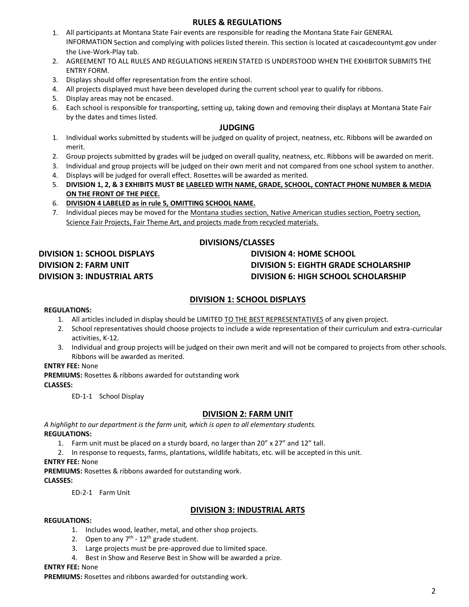#### **RULES & REGULATIONS**

- 1. All participants at Montana State Fair events are responsible for reading the Montana State Fair GENERAL INFORMATION Section and complying with policies listed therein. This section is located at cascadecountymt.gov under the Live-Work-Play tab.
- 2. AGREEMENT TO ALL RULES AND REGULATIONS HEREIN STATED IS UNDERSTOOD WHEN THE EXHIBITOR SUBMITS THE ENTRY FORM.
- 3. Displays should offer representation from the entire school.
- 4. All projects displayed must have been developed during the current school year to qualify for ribbons.
- 5. Display areas may not be encased.
- 6. Each school is responsible for transporting, setting up, taking down and removing their displays at Montana State Fair by the dates and times listed.

#### **JUDGING**

- 1. Individual works submitted by students will be judged on quality of project, neatness, etc. Ribbons will be awarded on merit.
- 2. Group projects submitted by grades will be judged on overall quality, neatness, etc. Ribbons will be awarded on merit.
- 3. Individual and group projects will be judged on their own merit and not compared from one school system to another.
- 4. Displays will be judged for overall effect. Rosettes will be awarded as merited.
- 5. **DIVISION 1, 2, & 3 EXHIBITS MUST BE LABELED WITH NAME, GRADE, SCHOOL, CONTACT PHONE NUMBER & MEDIA ON THE FRONT OF THE PIECE.**
- 6. **DIVISION 4 LABELED as in rule 5, OMITTING SCHOOL NAME.**
- 7. Individual pieces may be moved for the Montana studies section, Native American studies section, Poetry section, Science Fair Projects, Fair Theme Art, and projects made from recycled materials.

# **DIVISIONS/CLASSES**

# **DIVISION 1: SCHOOL DISPLAYS DIVISION 2: FARM UNIT DIVISION 3: INDUSTRIAL ARTS**

# **DIVISION 4: HOME SCHOOL DIVISION 5: EIGHTH GRADE SCHOLARSHIP DIVISION 6: HIGH SCHOOL SCHOLARSHIP**

### **DIVISION 1: SCHOOL DISPLAYS**

#### **REGULATIONS:**

- 1. All articles included in display should be LIMITED TO THE BEST REPRESENTATIVES of any given project.
- 2. School representatives should choose projects to include a wide representation of their curriculum and extra-curricular activities, K-12.
- 3. Individual and group projects will be judged on their own merit and will not be compared to projects from other schools. Ribbons will be awarded as merited.

#### **ENTRY FEE:** None

**PREMIUMS:** Rosettes & ribbons awarded for outstanding work **CLASSES:**

ED-1-1 School Display

#### **DIVISION 2: FARM UNIT**

*A highlight to our department is the farm unit, which is open to all elementary students.* **REGULATIONS:**

- 1. Farm unit must be placed on a sturdy board, no larger than 20" x 27" and 12" tall.
- 2. In response to requests, farms, plantations, wildlife habitats, etc. will be accepted in this unit.

**ENTRY FEE:** None

**PREMIUMS:** Rosettes & ribbons awarded for outstanding work.

#### **CLASSES:**

ED-2-1 Farm Unit

#### **DIVISION 3: INDUSTRIAL ARTS**

#### **REGULATIONS:**

- 1. Includes wood, leather, metal, and other shop projects.
- 2. Open to any  $7<sup>th</sup>$   $12<sup>th</sup>$  grade student.
- 3. Large projects must be pre-approved due to limited space.
- 4. Best in Show and Reserve Best in Show will be awarded a prize.

#### **ENTRY FEE:** None

**PREMIUMS:** Rosettes and ribbons awarded for outstanding work.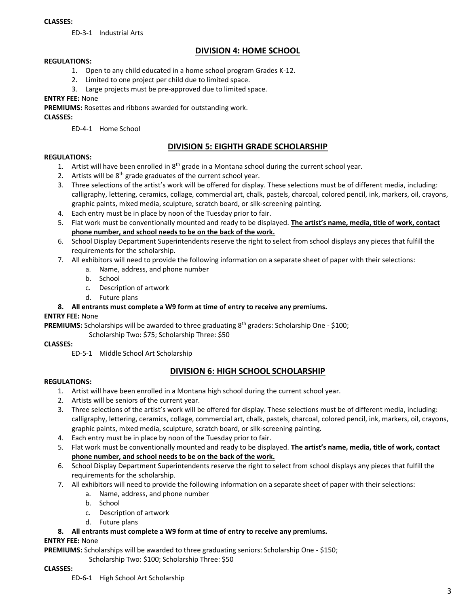#### **CLASSES:**

ED-3-1 Industrial Arts

# **DIVISION 4: HOME SCHOOL**

#### **REGULATIONS:**

- 1. Open to any child educated in a home school program Grades K-12.
- 2. Limited to one project per child due to limited space.
- 3. Large projects must be pre-approved due to limited space.

#### **ENTRY FEE:** None

**PREMIUMS:** Rosettes and ribbons awarded for outstanding work.

**CLASSES:** 

ED-4-1 Home School

### **DIVISION 5: EIGHTH GRADE SCHOLARSHIP**

#### **REGULATIONS:**

- 1. Artist will have been enrolled in  $8<sup>th</sup>$  grade in a Montana school during the current school year.
- 2. Artists will be 8<sup>th</sup> grade graduates of the current school year.
- 3. Three selections of the artist's work will be offered for display. These selections must be of different media, including: calligraphy, lettering, ceramics, collage, commercial art, chalk, pastels, charcoal, colored pencil, ink, markers, oil, crayons, graphic paints, mixed media, sculpture, scratch board, or silk-screening painting.
- 4. Each entry must be in place by noon of the Tuesday prior to fair.
- 5. Flat work must be conventionally mounted and ready to be displayed. **The artist's name, media, title of work, contact phone number, and school needs to be on the back of the work.**
- 6. School Display Department Superintendents reserve the right to select from school displays any pieces that fulfill the requirements for the scholarship.
- 7. All exhibitors will need to provide the following information on a separate sheet of paper with their selections:
	- a. Name, address, and phone number
	- b. School
	- c. Description of artwork
	- d. Future plans

#### **8. All entrants must complete a W9 form at time of entry to receive any premiums.**

#### **ENTRY FEE:** None

**PREMIUMS:** Scholarships will be awarded to three graduating 8th graders: Scholarship One - \$100;

Scholarship Two: \$75; Scholarship Three: \$50

#### **CLASSES:**

ED-5-1 Middle School Art Scholarship

# **DIVISION 6: HIGH SCHOOL SCHOLARSHIP**

#### **REGULATIONS:**

- 1. Artist will have been enrolled in a Montana high school during the current school year.
- 2. Artists will be seniors of the current year.
- 3. Three selections of the artist's work will be offered for display. These selections must be of different media, including: calligraphy, lettering, ceramics, collage, commercial art, chalk, pastels, charcoal, colored pencil, ink, markers, oil, crayons, graphic paints, mixed media, sculpture, scratch board, or silk-screening painting.
- 4. Each entry must be in place by noon of the Tuesday prior to fair.
- 5. Flat work must be conventionally mounted and ready to be displayed. **The artist's name, media, title of work, contact phone number, and school needs to be on the back of the work.**
- 6. School Display Department Superintendents reserve the right to select from school displays any pieces that fulfill the requirements for the scholarship.
- 7. All exhibitors will need to provide the following information on a separate sheet of paper with their selections:
	- a. Name, address, and phone number
	- b. School
	- c. Description of artwork
	- d. Future plans

#### **8. All entrants must complete a W9 form at time of entry to receive any premiums.**

#### **ENTRY FEE:** None

**PREMIUMS:** Scholarships will be awarded to three graduating seniors: Scholarship One - \$150;

Scholarship Two: \$100; Scholarship Three: \$50

#### **CLASSES:**

ED-6-1 High School Art Scholarship